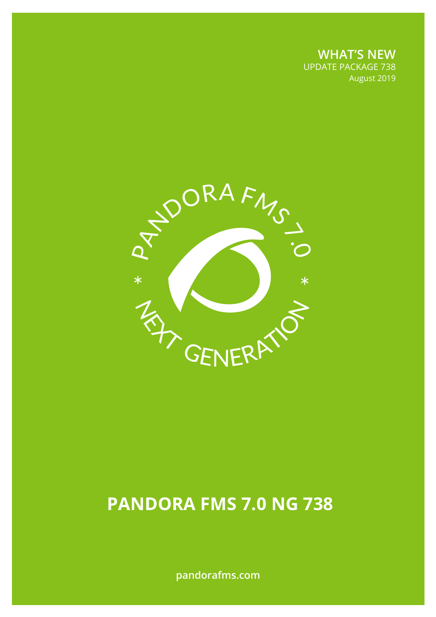**WHAT'S NEW** UPDATE PACKAGE 738 August 2019



# **PANDORA FMS 7.0 NG 738**

**pandorafms.com**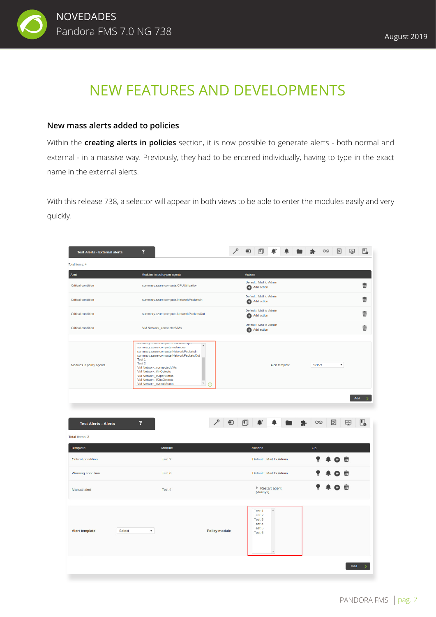

## NEW FEATURES AND DEVELOPMENTS

#### **New mass alerts added to policies**

Within the **creating alerts in policies** section, it is now possible to generate alerts - both normal and external - in a massive way. Previously, they had to be entered individually, having to type in the exact name in the external alerts.

With this release 738, a selector will appear in both views to be able to enter the modules easily and very quickly.

| Modules in policy per agents<br><b>Actions</b><br>Default : Mail to Admin<br>壶<br>summary.azure.compute.CPUUtilization<br>Add action<br>Default : Mail to Admin<br>▥<br>summary.azure.compute.NetworkPacketsIn<br>Add action<br>Default : Mail to Admin<br>而<br>summary.azure.compute.NetworkPacketsOut<br>Add action<br>Default : Mail to Admin<br>面<br>VM Network_connectedVMs<br>Add action<br>aummury.uzure.compute.prakvintoopa-<br>$\overline{a}$<br>summary.azure.compute.instances<br>summary.azure.compute.NetworkPacketsIn<br>summary.azure.compute.NetworkPacketsOut<br>Test 1<br>Test 2<br>$\boldsymbol{\mathrm{v}}$<br>Select<br>Alert template<br>VM Network_connectedVMs<br>VM Network_ifInOctects<br>VM Network_ifOperStatus<br>VM Network_ifOutOctects<br>$\blacktriangledown$<br>VM Network_overallStatus<br>⊙<br>Add<br>₽<br>⊕<br>?<br>门<br>S<br> ≊<br>坠<br><b>Test Alerts - Alerts</b><br>Module<br>Actions<br>Op.<br>Test 2<br>Default : Mail to Admin<br>丽<br>Default : Mail to Admin<br>Test 6<br>▥<br>$\overline{\mathfrak{m}}$<br>$\blacktriangleright$ Restart agent<br>Test 4<br>(Always)<br>$\Delta$<br>Test 1<br>Test 2<br>Test 3<br>Test 4<br>Test 5<br>Select<br>$\pmb{\mathrm{v}}$<br><b>Policy module</b><br>Test 6 | <b>Test Alerts - External alerts</b> | ? | ⊕ | 図<br>囜<br>$\infty$ | u. |
|------------------------------------------------------------------------------------------------------------------------------------------------------------------------------------------------------------------------------------------------------------------------------------------------------------------------------------------------------------------------------------------------------------------------------------------------------------------------------------------------------------------------------------------------------------------------------------------------------------------------------------------------------------------------------------------------------------------------------------------------------------------------------------------------------------------------------------------------------------------------------------------------------------------------------------------------------------------------------------------------------------------------------------------------------------------------------------------------------------------------------------------------------------------------------------------------------------------------------------------------------|--------------------------------------|---|---|--------------------|----|
|                                                                                                                                                                                                                                                                                                                                                                                                                                                                                                                                                                                                                                                                                                                                                                                                                                                                                                                                                                                                                                                                                                                                                                                                                                                      | Total items: 4                       |   |   |                    |    |
|                                                                                                                                                                                                                                                                                                                                                                                                                                                                                                                                                                                                                                                                                                                                                                                                                                                                                                                                                                                                                                                                                                                                                                                                                                                      | Alert                                |   |   |                    |    |
|                                                                                                                                                                                                                                                                                                                                                                                                                                                                                                                                                                                                                                                                                                                                                                                                                                                                                                                                                                                                                                                                                                                                                                                                                                                      | <b>Critical condition</b>            |   |   |                    |    |
|                                                                                                                                                                                                                                                                                                                                                                                                                                                                                                                                                                                                                                                                                                                                                                                                                                                                                                                                                                                                                                                                                                                                                                                                                                                      | <b>Critical condition</b>            |   |   |                    |    |
|                                                                                                                                                                                                                                                                                                                                                                                                                                                                                                                                                                                                                                                                                                                                                                                                                                                                                                                                                                                                                                                                                                                                                                                                                                                      | <b>Critical condition</b>            |   |   |                    |    |
|                                                                                                                                                                                                                                                                                                                                                                                                                                                                                                                                                                                                                                                                                                                                                                                                                                                                                                                                                                                                                                                                                                                                                                                                                                                      | <b>Critical condition</b>            |   |   |                    |    |
|                                                                                                                                                                                                                                                                                                                                                                                                                                                                                                                                                                                                                                                                                                                                                                                                                                                                                                                                                                                                                                                                                                                                                                                                                                                      | Modules in policy agents             |   |   |                    |    |
|                                                                                                                                                                                                                                                                                                                                                                                                                                                                                                                                                                                                                                                                                                                                                                                                                                                                                                                                                                                                                                                                                                                                                                                                                                                      | Total items: 3                       |   |   |                    |    |
|                                                                                                                                                                                                                                                                                                                                                                                                                                                                                                                                                                                                                                                                                                                                                                                                                                                                                                                                                                                                                                                                                                                                                                                                                                                      | <b>Template</b>                      |   |   |                    |    |
|                                                                                                                                                                                                                                                                                                                                                                                                                                                                                                                                                                                                                                                                                                                                                                                                                                                                                                                                                                                                                                                                                                                                                                                                                                                      | <b>Critical condition</b>            |   |   |                    |    |
|                                                                                                                                                                                                                                                                                                                                                                                                                                                                                                                                                                                                                                                                                                                                                                                                                                                                                                                                                                                                                                                                                                                                                                                                                                                      | <b>Warning condition</b>             |   |   |                    |    |
|                                                                                                                                                                                                                                                                                                                                                                                                                                                                                                                                                                                                                                                                                                                                                                                                                                                                                                                                                                                                                                                                                                                                                                                                                                                      | <b>Manual alert</b>                  |   |   |                    |    |
|                                                                                                                                                                                                                                                                                                                                                                                                                                                                                                                                                                                                                                                                                                                                                                                                                                                                                                                                                                                                                                                                                                                                                                                                                                                      | <b>Alert template</b>                |   |   |                    |    |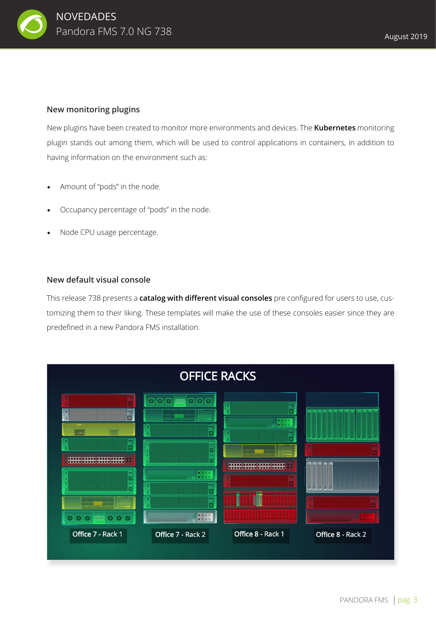

#### **New monitoring plugins**

New plugins have been created to monitor more environments and devices. The **Kubernetes** monitoring plugin stands out among them, which will be used to control applications in containers, in addition to having information on the environment such as:

- Amount of "pods" in the node.
- Occupancy percentage of "pods" in the node.
- Node CPU usage percentage.

#### **New default visual console**

This release 738 presents a **catalog with different visual consoles** pre configured for users to use, customizing them to their liking. These templates will make the use of these consoles easier since they are predefined in a new Pandora FMS installation.

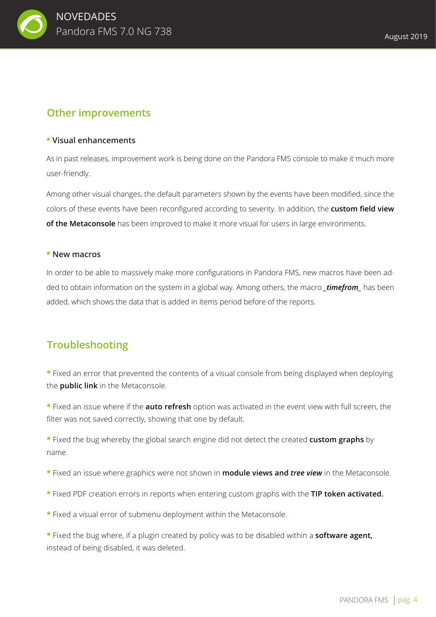

## **Other improvements**

#### **\* Visual enhancements**

As in past releases, improvement work is being done on the Pandora FMS console to make it much more user-friendly.

Among other visual changes, the default parameters shown by the events have been modified, since the colors of these events have been reconfigured according to severity. In addition, the **custom field view of the Metaconsole** has been improved to make it more visual for users in large environments.

#### **\* New macros**

In order to be able to massively make more configurations in Pandora FMS, new macros have been added to obtain information on the system in a global way. Among others, the macro *\_timefrom\_* has been added, which shows the data that is added in Items period before of the reports.

### **Troubleshooting**

**\*** Fixed an error that prevented the contents of a visual console from being displayed when deploying the **public link** in the Metaconsole.

**\*** Fixed an issue where if the **auto refresh** option was activated in the event view with full screen, the filter was not saved correctly, showing that one by default.

**\*** Fixed the bug whereby the global search engine did not detect the created **custom graphs** by name.

- **\*** Fixed an issue where graphics were not shown in **module views and** *tree view* in the Metaconsole.
- **\*** Fixed PDF creation errors in reports when entering custom graphs with the **TIP token activated.**
- **\*** Fixed a visual error of submenu deployment within the Metaconsole.

**\*** Fixed the bug where, if a plugin created by policy was to be disabled within a **software agent,** instead of being disabled, it was deleted.